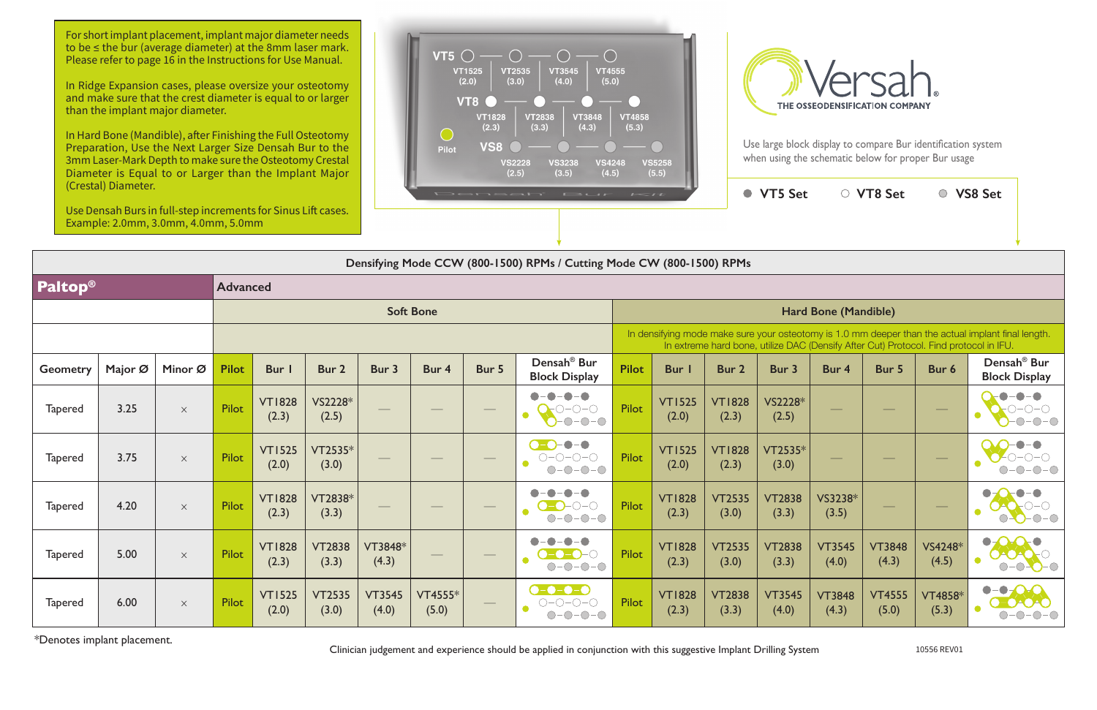$VTS Set$ 

## **Densifying Mode CCW (800-1500) RPMs / Cutting Mode CW (800-1500) RPMs**

In extreme hard bone, utilize DAC **Geometry Major Ø Minor Ø Pilot Bur 1 Bur 2 Bur 3 Bur 4 Bur 5 Densah® Bur Block Display Pilot Bur 1 Bur 2 Bur 3 Bur 4 Bur 5 Bur 6 Densah® Bur**  Tapered 3.25  $\times$  Pilot  $\frac{1}{2}$  VT1828 VS2228\* Tapered 3.75  $\times$  Pilot  $\frac{1}{200}$  $(2.0)$  $\begin{array}{|c|c|c|c|c|}\hline \text{C2535*} & \text{\hspace{1cm}} & \text{\hspace{1cm}} & \text{\hspace{1cm}} & \text{\hspace{1cm}} & \text{\hspace{1cm}} & \text{\hspace{1cm}} & \text{\hspace{1cm}} & \text{\hspace{1cm}} & \text{\hspace{1cm}} & \text{\hspace{1cm}} & \text{\hspace{1cm}} & \text{\hspace{1cm}} & \text{\hspace{1cm}} & \text{\hspace{1cm}} & \text{\hspace{1cm}} & \text{\hspace{1cm}} & \text{\hspace{1cm}} & \text{\hspace{1cm}} & \text{\hspace{1cm}} &$  $(2.0)$  $(2.3)$ VT2535\* Tapered 4.20  $\times$  Pilot  $\frac{1}{2}$  VT1828 (2.3) VT2838\*  $\overline{O}$   $\overline{O}$   $\overline{O}$   $\overline{O}$   $\overline{O}$   $\overline{O}$   $\overline{O}$   $\overline{O}$   $\overline{O}$   $\overline{O}$   $\overline{O}$   $\overline{O}$   $\overline{O}$   $\overline{O}$   $\overline{O}$   $\overline{O}$   $\overline{O}$   $\overline{O}$   $\overline{O}$   $\overline{O}$   $\overline{O}$   $\overline{O}$   $\overline{O}$   $\overline{O}$   $\overline{$  $(2.3)$ VT2535 (3.0) VT2838  $(3.3)$ Tapered 5.00  $\times$  Pilot  $\sqrt{23}$ (2.3) VT2838 (3.3) VT3848\*  $\begin{array}{|c|c|c|c|c|}\hline \text{C3848*} & \text{\hspace{0.5cm}} & \text{\hspace{0.5cm}} & \text{\hspace{0.5cm}} & \text{\hspace{0.5cm}} & \text{\hspace{0.5cm}} & \text{\hspace{0.5cm}} & \text{\hspace{0.5cm}} & \text{\hspace{0.5cm}} & \text{\hspace{0.5cm}} & \text{\hspace{0.5cm}} & \text{\hspace{0.5cm}} & \text{\hspace{0.5cm}} & \text{\hspace{0.5cm}} & \text{\hspace{0.5cm}} & \text{\hspace{0.5cm}} & \text{\hspace{0.5cm$ (2.3) VT2535 (3.0) VT2838  $(3.3)$ Tapered 6.00  $\times$  Pilot  $\frac{1}{200}$ (2.0) VT2535 (3.0) VT3545 (4.0) VT4555\* (5.0) — Pilot VT1828 (2.3) VT2838 (3.3) VT3545  $(4.0)$ 

## **Paltop® Advanced Soft Bone Hard Bone (Mandible)** In densifying mode make sure your osteot (2.3) VS2228\*  $\begin{array}{|c|c|c|c|c|}\hline \text{S}2228^* & \text{\hspace{0.3cm}} & \text{\hspace{0.3cm}} & \text{\hspace{0.3cm}} & \text{\hspace{0.3cm}} & \text{\hspace{0.3cm}} & \text{\hspace{0.3cm}} & \text{\hspace{0.3cm}} & \text{\hspace{0.3cm}} & \text{\hspace{0.3cm}} & \text{\hspace{0.3cm}} & \text{\hspace{0.3cm}} & \text{\hspace{0.3cm}} & \text{\hspace{0.3cm}} & \text{\hspace{0.3cm}} & \text{\hspace{0.3cm}} & \text{\hspace{0.3$ (2.0) VT1828  $(2.3)$ VT2535\* VT1828

| <b>F5 Set</b>     | ○ VT8 Set              |                        | ○ VS8 Set                                                   |                                                                    |
|-------------------|------------------------|------------------------|-------------------------------------------------------------|--------------------------------------------------------------------|
|                   |                        |                        |                                                             |                                                                    |
|                   |                        |                        |                                                             |                                                                    |
|                   | Hard Bone (Mandible)   |                        |                                                             |                                                                    |
|                   |                        |                        | ize DAC (Densify After Cut) Protocol. Find protocol in IFU. | r osteotomy is 1.0 mm deeper than the actual implant final length. |
| 3ur 3             | Bur 4                  | Bur 5                  | Bur 6                                                       | Densah <sup>®</sup> Bur<br><b>Block Display</b>                    |
| S2228*<br>(2.5)   |                        |                        |                                                             |                                                                    |
| $T2535*$<br>(3.0) |                        |                        |                                                             |                                                                    |
| T2838<br>(3.3)    | VS3238*<br>(3.5)       |                        |                                                             |                                                                    |
| T2838<br>(3.3)    | <b>VT3545</b><br>(4.0) | <b>VT3848</b><br>(4.3) | VS4248*<br>(4.5)                                            |                                                                    |
| T3545<br>(4.0)    | <b>VT3848</b><br>(4.3) | <b>VT4555</b><br>(5.0) | <b>VT4858*</b><br>(5.3)                                     |                                                                    |

\*Denotes implant placement.

Clinician judgement and experience should be applied in conjunction with this suggestive Implant Drilling System 10556 REV01

For short implant placement, implant major diameter needs to be ≤ the bur (average diameter) at the 8mm laser mark. Please refer to page 16 in the Instructions for Use Manual.

In Ridge Expansion cases, please oversize your osteotomy and make sure that the crest diameter is equal to or larger than the implant major diameter.

In Hard Bone (Mandible), after Finishing the Full Osteotomy Preparation, Use the Next Larger Size Densah Bur to the 3mm Laser-Mark Depth to make sure the Osteotomy Crestal Diameter is Equal to or Larger than the Implant Major (Crestal) Diameter.

Use Densah Burs in full-step increments for Sinus Lift cases. Example: 2.0mm, 3.0mm, 4.0mm, 5.0mm



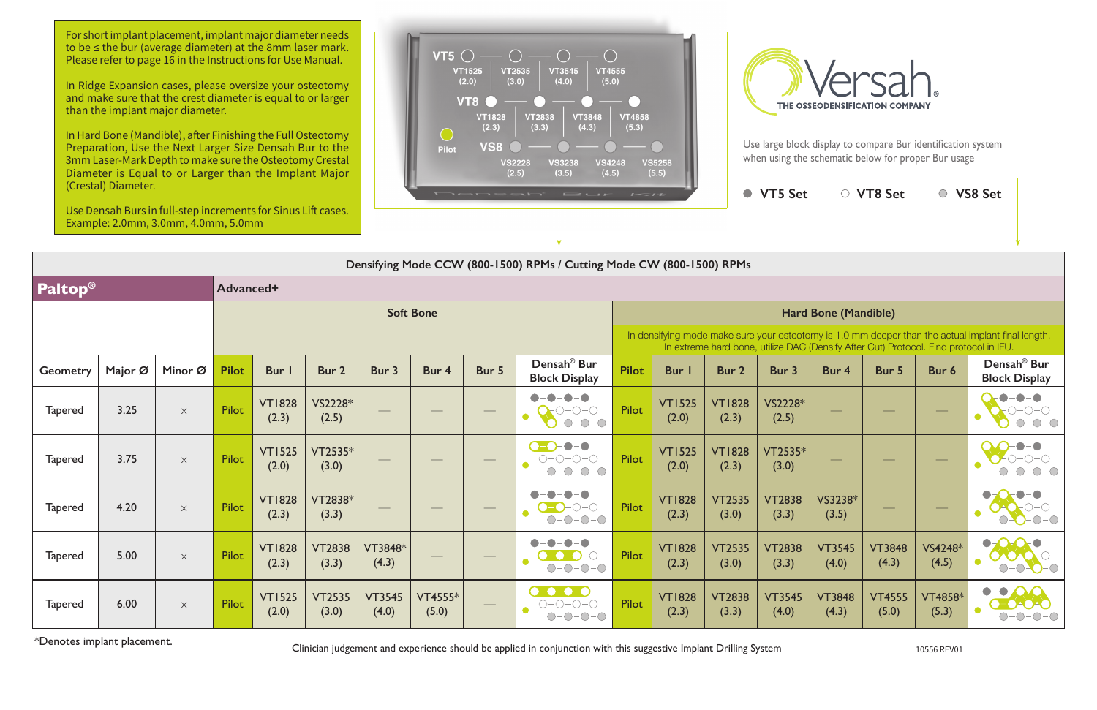In Hard Bone (Mandible), after Finishing the Full Osteotomy Preparation, Use the Next Larger Size Densah Bur to the 3mm Laser-Mark Depth to make sure the Osteotomy Crestal Diameter is Equal to or Larger than the Implant Major





|                 | (Crestal) Diameter. | Use Densah Burs in full-step increments for Sinus Lift cases.<br>Example: 2.0mm, 3.0mm, 4.0mm, 5.0mm |              |                        |                        |                        |                  |                                 | Densah' Bur                                                                                                                                                                                                                                                                                                                                                                                                                                                                       | $I = II$                                                                                                                                                                                    |                        |                        | ● VT5 Set              |                        | ○ VT8 Set              |                         | ○ VS8 Set                                                             |  |  |  |
|-----------------|---------------------|------------------------------------------------------------------------------------------------------|--------------|------------------------|------------------------|------------------------|------------------|---------------------------------|-----------------------------------------------------------------------------------------------------------------------------------------------------------------------------------------------------------------------------------------------------------------------------------------------------------------------------------------------------------------------------------------------------------------------------------------------------------------------------------|---------------------------------------------------------------------------------------------------------------------------------------------------------------------------------------------|------------------------|------------------------|------------------------|------------------------|------------------------|-------------------------|-----------------------------------------------------------------------|--|--|--|
|                 |                     |                                                                                                      |              |                        |                        |                        |                  |                                 | Densifying Mode CCW (800-1500) RPMs / Cutting Mode CW (800-1500) RPMs                                                                                                                                                                                                                                                                                                                                                                                                             |                                                                                                                                                                                             |                        |                        |                        |                        |                        |                         |                                                                       |  |  |  |
| <b>Paltop®</b>  |                     |                                                                                                      | Advanced+    |                        |                        |                        |                  |                                 |                                                                                                                                                                                                                                                                                                                                                                                                                                                                                   |                                                                                                                                                                                             |                        |                        |                        |                        |                        |                         |                                                                       |  |  |  |
|                 |                     |                                                                                                      |              |                        |                        |                        | <b>Soft Bone</b> |                                 |                                                                                                                                                                                                                                                                                                                                                                                                                                                                                   | <b>Hard Bone (Mandible)</b>                                                                                                                                                                 |                        |                        |                        |                        |                        |                         |                                                                       |  |  |  |
|                 |                     |                                                                                                      |              |                        |                        |                        |                  |                                 |                                                                                                                                                                                                                                                                                                                                                                                                                                                                                   | In densifying mode make sure your osteotomy is 1.0 mm deeper than the actual implant final length.<br>In extreme hard bone, utilize DAC (Densify After Cut) Protocol. Find protocol in IFU. |                        |                        |                        |                        |                        |                         |                                                                       |  |  |  |
| <b>Geometry</b> | Major Ø             | Minor Ø                                                                                              | <b>Pilot</b> | <b>Bur</b> I           | Bur 2                  | Bur 3                  | Bur 4            | Bur 5                           | Densah <sup>®</sup> Bur<br><b>Block Display</b>                                                                                                                                                                                                                                                                                                                                                                                                                                   | <b>Pilot</b>                                                                                                                                                                                | Bur I                  | Bur 2                  | Bur 3                  | Bur 4                  | Bur 5                  | Bur 6                   | Densah <sup>®</sup> Bur<br><b>Block Display</b>                       |  |  |  |
| <b>Tapered</b>  | 3.25                | $\times$                                                                                             | Pilot        | <b>VT1828</b><br>(2.3) | VS2228*<br>(2.5)       |                        |                  |                                 | $\bullet$<br>-0-0<br>$\bullet$<br>$\sum_{i=1}^{n} \binom{n}{i} \binom{n}{i} \binom{n}{i} \binom{n}{i} \binom{n}{i} \binom{n}{i} \binom{n}{i} \binom{n}{i} \binom{n}{i} \binom{n}{i} \binom{n}{i} \binom{n}{i} \binom{n}{i} \binom{n}{i} \binom{n}{i} \binom{n}{i} \binom{n}{i} \binom{n}{i} \binom{n}{i} \binom{n}{i} \binom{n}{i} \binom{n}{i} \binom{n}{i} \binom{n}{i} \binom{n}{i} \binom{n}{i} \binom{n}{i} \binom{n}{i} \binom{n}{i} \binom{n}{i}$<br>$\bullet$<br>$-0-0-0$ | <b>Pilot</b>                                                                                                                                                                                | <b>VT1525</b><br>(2.0) | <b>VT1828</b><br>(2.3) | VS2228*<br>(2.5)       |                        |                        |                         | $\neg$                                                                |  |  |  |
| <b>Tapered</b>  | 3.75                | $\times$                                                                                             | Pilot        | <b>VT1525</b><br>(2.0) | VT2535*<br>(3.0)       |                        |                  | $\overbrace{\qquad \qquad }^{}$ | $-•$<br>$O = O = O = O$<br>$-0$ - $0$ - $0$<br>$\bigcirc$ -                                                                                                                                                                                                                                                                                                                                                                                                                       | Pilot                                                                                                                                                                                       | <b>VT1525</b><br>(2.0) | <b>VT1828</b><br>(2.3) | VT2535*<br>(3.0)       |                        |                        |                         |                                                                       |  |  |  |
| <b>Tapered</b>  | 4.20                | $\times$                                                                                             | Pilot        | <b>VT1828</b><br>(2.3) | VT2838*<br>(3.3)       |                        |                  |                                 | $\begin{array}{c} \n \text{O} - \text{O} - \text{O} \n \end{array}$<br>$-0-0-0$<br>$\bigcap$                                                                                                                                                                                                                                                                                                                                                                                      | Pilot                                                                                                                                                                                       | <b>VT1828</b><br>(2.3) | <b>VT2535</b><br>(3.0) | <b>VT2838</b><br>(3.3) | VS3238*<br>(3.5)       |                        |                         | $ \bigcirc$ $ \bigcirc$                                               |  |  |  |
| <b>Tapered</b>  | 5.00                | $\times$                                                                                             | Pilot        | <b>VT1828</b><br>(2.3) | <b>VT2838</b><br>(3.3) | VT3848*<br>(4.3)       |                  |                                 | $\bullet - \bullet$<br>$    \odot$<br>$\bullet$<br>$O-O-O-O$                                                                                                                                                                                                                                                                                                                                                                                                                      | <b>Pilot</b>                                                                                                                                                                                | <b>VT1828</b><br>(2.3) | <b>VT2535</b><br>(3.0) | <b>VT2838</b><br>(3.3) | <b>VT3545</b><br>(4.0) | <b>VT3848</b><br>(4.3) | VS4248*<br>(4.5)        | $-\bigcirc$<br>$    -$                                                |  |  |  |
| <b>Tapered</b>  | 6.00                | $\times$                                                                                             | Pilot        | <b>VT1525</b><br>(2.0) | <b>VT2535</b><br>(3.0) | <b>VT3545</b><br>(4.0) | VT4555*<br>(5.0) |                                 | $\bullet$ - $\bullet$ - $\bullet$<br>$O-O-O-O$<br>$\bullet$<br>$O-O-O-O$                                                                                                                                                                                                                                                                                                                                                                                                          | Pilot                                                                                                                                                                                       | <b>VT1828</b><br>(2.3) | <b>VT2838</b><br>(3.3) | <b>VT3545</b><br>(4.0) | <b>VT3848</b><br>(4.3) | <b>VT4555</b><br>(5.0) | <b>VT4858*</b><br>(5.3) | $\bullet$ - $\bullet$ - $\bullet$ - $\bullet$<br>$\neg$<br>$\bigcirc$ |  |  |  |

\*Denotes implant placement. Clinician judgement and experience should be applied in conjunction with this suggestive Implant Drilling System 10556 REV01

For short implant placement, implant major diameter needs to be ≤ the bur (average diameter) at the 8mm laser mark. Please refer to page 16 in the Instructions for Use Manual.

In Ridge Expansion cases, please oversize your osteotomy and make sure that the crest diameter is equal to or larger than the implant major diameter.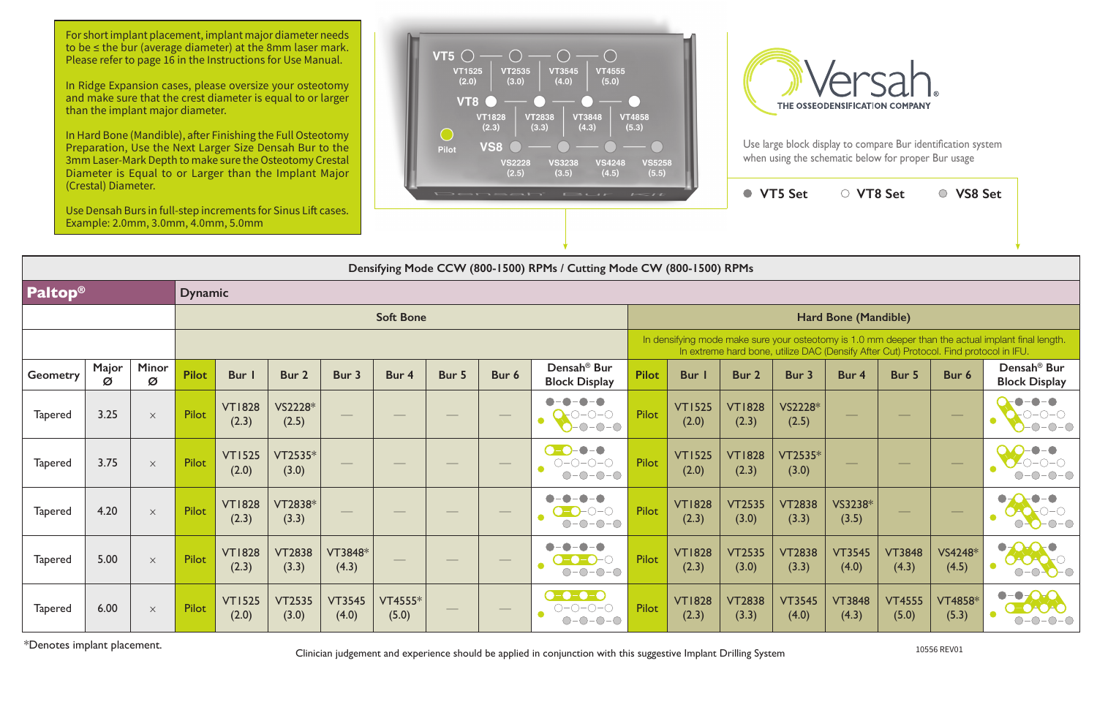**VT5 Set VT8 Set VS8 Set**

For short implant placement, implant major diameter needs to be ≤ the bur (average diameter) at the 8mm laser mark. Please refer to page 16 in the Instructions for Use Manual.

Clinician judgement and experience should be applied in conjunction with this suggestive Implant Drilling System \*Denotes implant placement. 10556 REV01

|  | <b>ard Bone (Mandible)</b> |  |
|--|----------------------------|--|
|  |                            |  |

|                 | Densifying Mode CCW (800-1500) RPMs / Cutting Mode CW (800-1500) RPMs |             |                |                        |                        |                        |                  |                                                                                                                                                                                                                                                                                                                                                                                                                                                                            |                          |                                                            |                                                                                                                                                                                             |                        |                        |                        |                                |                        |                         |                                                               |  |  |  |
|-----------------|-----------------------------------------------------------------------|-------------|----------------|------------------------|------------------------|------------------------|------------------|----------------------------------------------------------------------------------------------------------------------------------------------------------------------------------------------------------------------------------------------------------------------------------------------------------------------------------------------------------------------------------------------------------------------------------------------------------------------------|--------------------------|------------------------------------------------------------|---------------------------------------------------------------------------------------------------------------------------------------------------------------------------------------------|------------------------|------------------------|------------------------|--------------------------------|------------------------|-------------------------|---------------------------------------------------------------|--|--|--|
| <b>Paltop®</b>  |                                                                       |             | <b>Dynamic</b> |                        |                        |                        |                  |                                                                                                                                                                                                                                                                                                                                                                                                                                                                            |                          |                                                            |                                                                                                                                                                                             |                        |                        |                        |                                |                        |                         |                                                               |  |  |  |
|                 |                                                                       |             |                |                        |                        |                        | <b>Soft Bone</b> |                                                                                                                                                                                                                                                                                                                                                                                                                                                                            |                          |                                                            | Hard Bone (Mandible)                                                                                                                                                                        |                        |                        |                        |                                |                        |                         |                                                               |  |  |  |
|                 |                                                                       |             |                |                        |                        |                        |                  |                                                                                                                                                                                                                                                                                                                                                                                                                                                                            |                          |                                                            | In densifying mode make sure your osteotomy is 1.0 mm deeper than the actual implant final length.<br>In extreme hard bone, utilize DAC (Densify After Cut) Protocol. Find protocol in IFU. |                        |                        |                        |                                |                        |                         |                                                               |  |  |  |
| <b>Geometry</b> | Major<br>Ø                                                            | Minor<br>Ø  | <b>Pilot</b>   | <b>Bur</b>             | Bur 2                  | Bur 3                  | Bur 4            | Bur 5                                                                                                                                                                                                                                                                                                                                                                                                                                                                      | Bur 6                    | Densah <sup>®</sup> Bur<br><b>Block Display</b>            | <b>Pilot</b>                                                                                                                                                                                | <b>Bur</b>             | <b>Bur 2</b>           | Bur 3                  | Bur 4                          | Bur 5                  | Bur 6                   | Densah <sup>®</sup> Bur<br><b>Block Display</b>               |  |  |  |
| <b>Tapered</b>  | 3.25                                                                  | $\mathsf X$ | <b>Pilot</b>   | <b>VT1828</b><br>(2.3) | VS2228*<br>(2.5)       |                        |                  | $\frac{1}{2} \left( \frac{1}{2} \right) \left( \frac{1}{2} \right) \left( \frac{1}{2} \right) \left( \frac{1}{2} \right) \left( \frac{1}{2} \right) \left( \frac{1}{2} \right) \left( \frac{1}{2} \right) \left( \frac{1}{2} \right) \left( \frac{1}{2} \right) \left( \frac{1}{2} \right) \left( \frac{1}{2} \right) \left( \frac{1}{2} \right) \left( \frac{1}{2} \right) \left( \frac{1}{2} \right) \left( \frac{1}{2} \right) \left( \frac{1}{2} \right) \left( \frac$ | $\overline{\phantom{a}}$ | $\blacksquare$<br>$\bullet$<br>$\bullet$<br>$-0$ -O -O     | <b>Pilot</b>                                                                                                                                                                                | <b>VT1525</b><br>(2.0) | <b>VT1828</b><br>(2.3) | VS2228*<br>(2.5)       | $\overbrace{\hspace{40pt}}^{}$ |                        |                         | $\begin{array}{c} \bullet \\ \bullet \end{array}$<br>$-0-0-0$ |  |  |  |
| <b>Tapered</b>  | 3.75                                                                  | $\times$    | <b>Pilot</b>   | <b>VT1525</b><br>(2.0) | VT2535*<br>(3.0)       |                        |                  |                                                                                                                                                                                                                                                                                                                                                                                                                                                                            | $\overline{\phantom{a}}$ | $-\bullet$<br>$\overline{C}$<br>$O-O-O-O$<br>$O-O-O-O$     | <b>Pilot</b>                                                                                                                                                                                | <b>VT1525</b><br>(2.0) | <b>VT1828</b><br>(2.3) | VT2535*<br>(3.0)       | $\overbrace{\hspace{25mm}}^{}$ |                        |                         |                                                               |  |  |  |
| <b>Tapered</b>  | 4.20                                                                  | $\mathsf X$ | <b>Pilot</b>   | <b>VT1828</b><br>(2.3) | VT2838*<br>(3.3)       |                        |                  |                                                                                                                                                                                                                                                                                                                                                                                                                                                                            | $\overline{\phantom{a}}$ | $ \bullet$<br>$-0-0-0$<br>∩-                               | <b>Pilot</b>                                                                                                                                                                                | <b>VT1828</b><br>(2.3) | <b>VT2535</b><br>(3.0) | <b>VT2838</b><br>(3.3) | VS3238*<br>(3.5)               |                        |                         | $\bullet$<br>$ \bigcirc$ $ \bigcirc$                          |  |  |  |
| <b>Tapered</b>  | 5.00                                                                  | $\mathsf X$ | <b>Pilot</b>   | <b>VT1828</b><br>(2.3) | <b>VT2838</b><br>(3.3) | VT3848*<br>(4.3)       |                  |                                                                                                                                                                                                                                                                                                                                                                                                                                                                            | $\overline{\phantom{a}}$ | $\bullet$ – $\bullet$<br>$O-O-O-O$                         | Pilot                                                                                                                                                                                       | <b>VT1828</b><br>(2.3) | <b>VT2535</b><br>(3.0) | <b>VT2838</b><br>(3.3) | <b>VT3545</b><br>(4.0)         | <b>VT3848</b><br>(4.3) | VS4248*<br>(4.5)        | $\bullet$<br>DAOA<br>$\bullet$<br>$\bigcirc$                  |  |  |  |
| <b>Tapered</b>  | 6.00                                                                  | $\mathsf X$ | Pilot          | <b>VT1525</b><br>(2.0) | <b>VT2535</b><br>(3.0) | <b>VT3545</b><br>(4.0) | VT4555*<br>(5.0) |                                                                                                                                                                                                                                                                                                                                                                                                                                                                            |                          | $\bullet$ - $\bullet$ - $\bullet$ - $\bullet$<br>$O-O-O-O$ | Pilot                                                                                                                                                                                       | <b>VT1828</b><br>(2.3) | <b>VT2838</b><br>(3.3) | <b>VT3545</b><br>(4.0) | <b>VT3848</b><br>(4.3)         | <b>VT4555</b><br>(5.0) | <b>VT4858*</b><br>(5.3) | $\bullet$<br>$\bullet$                                        |  |  |  |

In Ridge Expansion cases, please oversize your osteotomy and make sure that the crest diameter is equal to or larger than the implant major diameter.

In Hard Bone (Mandible), after Finishing the Full Osteotomy Preparation, Use the Next Larger Size Densah Bur to the 3mm Laser-Mark Depth to make sure the Osteotomy Crestal Diameter is Equal to or Larger than the Implant Major (Crestal) Diameter.

Use Densah Burs in full-step increments for Sinus Lift cases. Example: 2.0mm, 3.0mm, 4.0mm, 5.0mm





Use large block display to compare Bur identification system when using the schematic below for proper Bur usage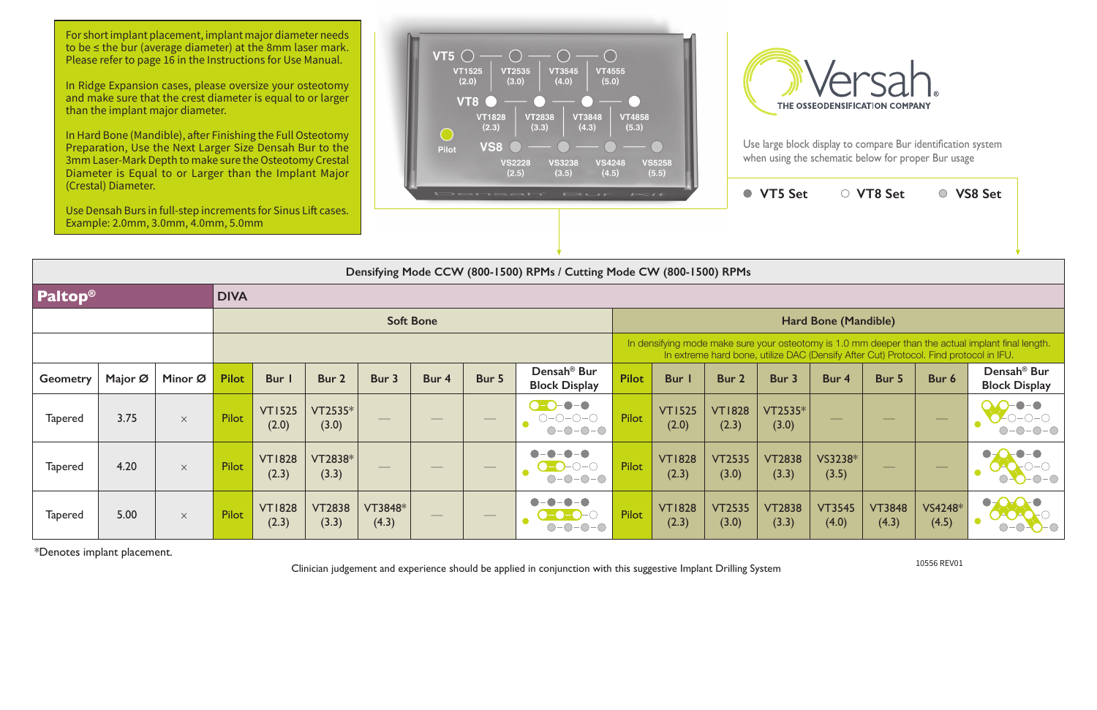Clinician judgement and experience should be applied in conjunction with this suggestive Implant Drilling System

In Hard Bone (Mandible), after Finishing the Full Osteotomy Preparation, Use the Next Larger Size Densah Bur to the 3mm Laser-Mark Depth to make sure the Osteotomy Crestal Diameter is Equal to or Larger than the Implant Major





|                     | (Crestal) Diameter. | Use Densah Burs in full-step increments for Sinus Lift cases.<br>Example: 2.0mm, 3.0mm, 4.0mm, 5.0mm |              |                        |                        |                   |                  |                   | Densah' Bur                                                                             | $I \leq t$                                                                                                                                                                                  |                        |                        | ● VT5 Set              |                                | ○ VT8 Set              |                   | ○ VS8 Set                                       |  |  |
|---------------------|---------------------|------------------------------------------------------------------------------------------------------|--------------|------------------------|------------------------|-------------------|------------------|-------------------|-----------------------------------------------------------------------------------------|---------------------------------------------------------------------------------------------------------------------------------------------------------------------------------------------|------------------------|------------------------|------------------------|--------------------------------|------------------------|-------------------|-------------------------------------------------|--|--|
|                     |                     |                                                                                                      |              |                        |                        |                   |                  |                   | Densifying Mode CCW (800-1500) RPMs / Cutting Mode CW (800-1500) RPMs                   |                                                                                                                                                                                             |                        |                        |                        |                                |                        |                   |                                                 |  |  |
| Paltop <sup>®</sup> |                     |                                                                                                      | <b>DIVA</b>  |                        |                        |                   |                  |                   |                                                                                         |                                                                                                                                                                                             |                        |                        |                        |                                |                        |                   |                                                 |  |  |
|                     |                     |                                                                                                      |              |                        |                        |                   | <b>Soft Bone</b> |                   |                                                                                         | Hard Bone (Mandible)                                                                                                                                                                        |                        |                        |                        |                                |                        |                   |                                                 |  |  |
|                     |                     |                                                                                                      |              |                        |                        |                   |                  |                   |                                                                                         | In densifying mode make sure your osteotomy is 1.0 mm deeper than the actual implant final length.<br>In extreme hard bone, utilize DAC (Densify After Cut) Protocol. Find protocol in IFU. |                        |                        |                        |                                |                        |                   |                                                 |  |  |
| <b>Geometry</b>     | Major Ø             | Minor Ø                                                                                              | <b>Pilot</b> | Bur                    | Bur 2                  | Bur 3             | Bur 4            | Bur 5             | Densah <sup>®</sup> Bur<br><b>Block Display</b>                                         | <b>Pilot</b>                                                                                                                                                                                | Bur                    | Bur 2                  | Bur 3                  | Bur 4                          | Bur 5                  | Bur 6             | Densah <sup>®</sup> Bur<br><b>Block Display</b> |  |  |
| <b>Tapered</b>      | 3.75                | $\times$                                                                                             | <b>Pilot</b> | <b>VT1525</b><br>(2.0) | VT2535*<br>(3.0)       |                   |                  | $\hspace{0.05cm}$ | $\bullet$ – $\bullet$<br>$\bullet$ - $\bullet$ )<br>$O-O-O-O$<br>$-0-0-0$<br>$\bigcirc$ | Pilot                                                                                                                                                                                       | <b>VT1525</b><br>(2.0) | <b>VT1828</b><br>(2.3) | VT2535*<br>(3.0)       | $\overbrace{\hspace{25mm}}^{}$ |                        | $\hspace{0.05cm}$ |                                                 |  |  |
| <b>Tapered</b>      | 4.20                | $\times$                                                                                             | <b>Pilot</b> | <b>VT1828</b><br>(2.3) | VT2838*<br>(3.3)       | $\hspace{0.05cm}$ |                  | $\hspace{0.05cm}$ | O<br>$O-O-O-O-$                                                                         | Pilot                                                                                                                                                                                       | <b>VT1828</b><br>(2.3) | <b>VT2535</b><br>(3.0) | <b>VT2838</b><br>(3.3) | VS3238*<br>(3.5)               | $\hspace{0.05cm}$      |                   |                                                 |  |  |
| <b>Tapered</b>      | 5.00                | $\times$                                                                                             | Pilot        | <b>VT1828</b><br>(2.3) | <b>VT2838</b><br>(3.3) | VT3848*<br>(4.3)  |                  |                   |                                                                                         | Pilot                                                                                                                                                                                       | <b>VT1828</b><br>(2.3) | <b>VT2535</b><br>(3.0) | <b>VT2838</b><br>(3.3) | <b>VT3545</b><br>(4.0)         | <b>VT3848</b><br>(4.3) | VS4248*<br>(4.5)  | $\bullet$ -                                     |  |  |

\*Denotes implant placement.

10556 REV01

For short implant placement, implant major diameter needs to be ≤ the bur (average diameter) at the 8mm laser mark. Please refer to page 16 in the Instructions for Use Manual.

In Ridge Expansion cases, please oversize your osteotomy and make sure that the crest diameter is equal to or larger than the implant major diameter.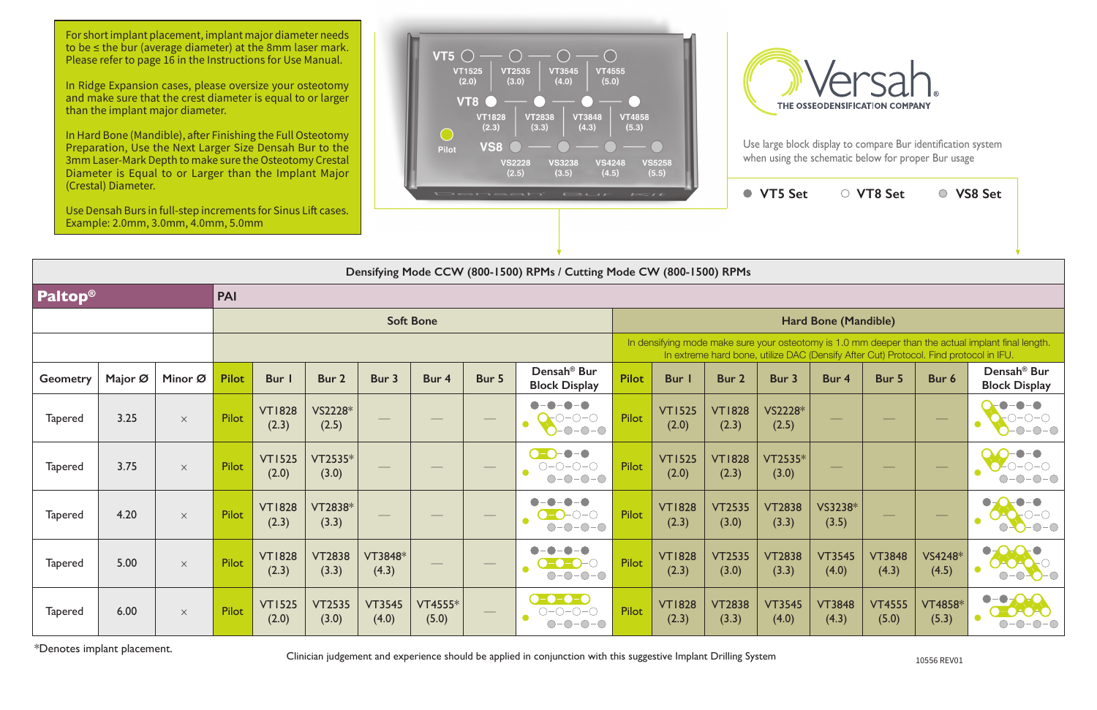Clinician judgement and experience should be applied in conjunction with this suggestive Implant Drilling System

In Hard Bone (Mandible), after Finishing the Full Osteotomy Preparation, Use the Next Larger Size Densah Bur to the 3mm Laser-Mark Depth to make sure the Osteotomy Crestal Diameter is Equal to or Larger than the Implant Major

|                 | (Crestal) Diameter.<br>Use Densah Burs in full-step increments for Sinus Lift cases.<br>Example: 2.0mm, 3.0mm, 4.0mm, 5.0mm |          |              |                        |                        |                        |                  | Densahi | $F \rightarrow C \rightarrow F$                                                                     | $I = I I$            |                        |                        | ● VT5 Set              |                          | ○ VT8 Set              |                                                                                       | ○ VS8 Set                                                                                          |  |  |
|-----------------|-----------------------------------------------------------------------------------------------------------------------------|----------|--------------|------------------------|------------------------|------------------------|------------------|---------|-----------------------------------------------------------------------------------------------------|----------------------|------------------------|------------------------|------------------------|--------------------------|------------------------|---------------------------------------------------------------------------------------|----------------------------------------------------------------------------------------------------|--|--|
|                 |                                                                                                                             |          |              |                        |                        |                        |                  |         | Densifying Mode CCW (800-1500) RPMs / Cutting Mode CW (800-1500) RPMs                               |                      |                        |                        |                        |                          |                        |                                                                                       |                                                                                                    |  |  |
| <b>Paltop®</b>  |                                                                                                                             |          | <b>PAI</b>   |                        |                        |                        |                  |         |                                                                                                     |                      |                        |                        |                        |                          |                        |                                                                                       |                                                                                                    |  |  |
|                 |                                                                                                                             |          |              |                        |                        |                        | <b>Soft Bone</b> |         |                                                                                                     | Hard Bone (Mandible) |                        |                        |                        |                          |                        |                                                                                       |                                                                                                    |  |  |
|                 |                                                                                                                             |          |              |                        |                        |                        |                  |         |                                                                                                     |                      |                        |                        |                        |                          |                        | In extreme hard bone, utilize DAC (Densify After Cut) Protocol. Find protocol in IFU. | In densifying mode make sure your osteotomy is 1.0 mm deeper than the actual implant final length. |  |  |
| <b>Geometry</b> | Major Ø                                                                                                                     | Minor Ø  | <b>Pilot</b> | Bur I                  | Bur 2                  | Bur 3                  | Bur 4            | Bur 5   | Densah <sup>®</sup> Bur<br><b>Block Display</b>                                                     | <b>Pilot</b>         | <b>Bur</b> I           | Bur 2                  | Bur 3                  | Bur 4                    | Bur 5                  | Bur 6                                                                                 | Densah <sup>®</sup> Bur<br><b>Block Display</b>                                                    |  |  |
| <b>Tapered</b>  | 3.25                                                                                                                        | $\times$ | Pilot        | <b>VT1828</b><br>(2.3) | VS2228*<br>(2.5)       |                        |                  |         | $-\bullet-\bullet$<br>$O-O-O$<br>$\bullet$<br>$-0-0-0$                                              | <b>Pilot</b>         | <b>VT1525</b><br>(2.0) | <b>VT1828</b><br>(2.3) | VS2228*<br>(2.5)       | سند با                   |                        |                                                                                       | $\bigcirc$<br>$\bullet$<br>$\bigcap$ -<br>$ \bigcirc$ $ \bigcirc$                                  |  |  |
| <b>Tapered</b>  | 3.75                                                                                                                        | $\times$ | <b>Pilot</b> | <b>VT1525</b><br>(2.0) | VT2535*<br>(3.0)       |                        |                  |         | $\bigcirc$ - $\bigcirc$ - $\bigcirc$ - $\bigcirc$<br>$O-O-O-O$<br>$\bullet$<br>$-0-0-0$<br>$(\ )$ - | <b>Pilot</b>         | <b>VT1525</b><br>(2.0) | <b>VT1828</b><br>(2.3) | VT2535*<br>(3.0)       | $\overline{\phantom{a}}$ |                        |                                                                                       |                                                                                                    |  |  |
| <b>Tapered</b>  | 4.20                                                                                                                        | $\times$ | Pilot        | <b>VT1828</b><br>(2.3) | VT2838*<br>(3.3)       |                        |                  |         | $ \bullet$<br>$\bullet$<br>$\bullet$<br>-0–0<br>$\bullet$<br>$-0$ -O-O<br>$\bigcirc$                | Pilot                | <b>VT1828</b><br>(2.3) | <b>VT2535</b><br>(3.0) | <b>VT2838</b><br>(3.3) | VS3238*<br>(3.5)         |                        |                                                                                       | $   \odot$                                                                                         |  |  |
| <b>Tapered</b>  | 5.00                                                                                                                        | $\times$ | Pilot        | <b>VT1828</b><br>(2.3) | <b>VT2838</b><br>(3.3) | VT3848*<br>(4.3)       |                  |         | $-\bullet$<br>$\bullet$<br>$\bullet$<br>$\bullet$<br>-0-0<br>-( )<br>$\bullet$<br>$-0-0-0$<br>∩-    | Pilot                | <b>VT1828</b><br>(2.3) | <b>VT2535</b><br>(3.0) | <b>VT2838</b><br>(3.3) | <b>VT3545</b><br>(4.0)   | <b>VT3848</b><br>(4.3) | VS4248*<br>(4.5)                                                                      | $\bullet$<br>$\bigcirc$                                                                            |  |  |
| <b>Tapered</b>  | 6.00                                                                                                                        | $\times$ | Pilot        | <b>VT1525</b><br>(2.0) | <b>VT2535</b><br>(3.0) | <b>VT3545</b><br>(4.0) | VT4555*<br>(5.0) |         | $\bullet$ - $\bullet$ - $\bullet$ - $\bullet$<br>0-0-0-0<br>$-0-0-0$<br>$\bigcirc$ :                | Pilot                | <b>VT1828</b><br>(2.3) | <b>VT2838</b><br>(3.3) | <b>VT3545</b><br>(4.0) | <b>VT3848</b><br>(4.3)   | <b>VT4555</b><br>(5.0) | <b>VT4858*</b><br>(5.3)                                                               |                                                                                                    |  |  |

\*Denotes implant placement.

For short implant placement, implant major diameter needs to be ≤ the bur (average diameter) at the 8mm laser mark. Please refer to page 16 in the Instructions for Use Manual.

In Ridge Expansion cases, please oversize your osteotomy and make sure that the crest diameter is equal to or larger than the implant major diameter.



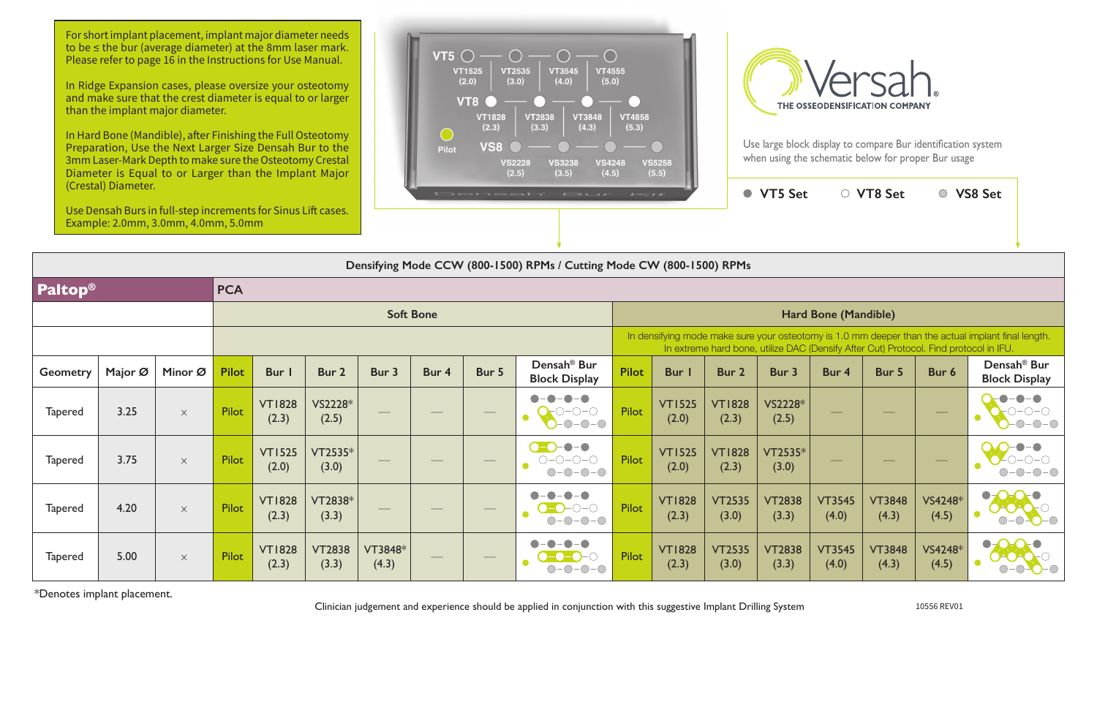In Hard Bone (Mandible), after Finishing the Full Osteotomy Preparation, Use the Next Larger Size Densah Bur to the 3mm Laser-Mark Depth to make sure the Osteotomy Crestal Diameter is Equal to or Larger than the Implant Major

|                 | (Crestal) Diameter.<br>Use Densah Burs in full-step increments for Sinus Lift cases.<br>Example: 2.0mm, 3.0mm, 4.0mm, 5.0mm |          |              |                        |                        |                  |                  | Densah | $E \rightarrow L H$                                                      | $I = II$     |                        |                        | ● VT5 Set                                                                             |                          | ○ VT8 Set                |                   | ○ VS8 Set                                                                                          |
|-----------------|-----------------------------------------------------------------------------------------------------------------------------|----------|--------------|------------------------|------------------------|------------------|------------------|--------|--------------------------------------------------------------------------|--------------|------------------------|------------------------|---------------------------------------------------------------------------------------|--------------------------|--------------------------|-------------------|----------------------------------------------------------------------------------------------------|
|                 |                                                                                                                             |          |              |                        |                        |                  |                  |        | Densifying Mode CCW (800-1500) RPMs / Cutting Mode CW (800-1500) RPMs    |              |                        |                        |                                                                                       |                          |                          |                   |                                                                                                    |
| <b>Paltop®</b>  |                                                                                                                             |          | <b>PCA</b>   |                        |                        |                  |                  |        |                                                                          |              |                        |                        |                                                                                       |                          |                          |                   |                                                                                                    |
|                 |                                                                                                                             |          |              |                        |                        |                  | <b>Soft Bone</b> |        |                                                                          |              |                        |                        |                                                                                       | Hard Bone (Mandible)     |                          |                   |                                                                                                    |
|                 |                                                                                                                             |          |              |                        |                        |                  |                  |        |                                                                          |              |                        |                        | In extreme hard bone, utilize DAC (Densify After Cut) Protocol. Find protocol in IFU. |                          |                          |                   | In densifying mode make sure your osteotomy is 1.0 mm deeper than the actual implant final length. |
| <b>Geometry</b> | Major Ø                                                                                                                     | Minor Ø  | <b>Pilot</b> | Bur                    | Bur 2                  | Bur 3            | Bur 4            | Bur 5  | Densah <sup>®</sup> Bur<br><b>Block Display</b>                          | <b>Pilot</b> | <b>Bur</b>             | Bur <sub>2</sub>       | Bur 3                                                                                 | Bur 4                    | Bur 5                    | Bur 6             | Densah <sup>®</sup> Bur<br><b>Block Display</b>                                                    |
| <b>Tapered</b>  | 3.25                                                                                                                        | $\times$ | Pilot        | <b>VT1828</b><br>(2.3) | VS2228*<br>(2.5)       |                  |                  |        | $\blacksquare$<br>$\bigcirc\neg\bigcirc\neg\bigcirc$<br>$-0-0-0$         | Pilot        | <b>VT1525</b><br>(2.0) | <b>VT1828</b><br>(2.3) | VS2228*<br>(2.5)                                                                      |                          |                          | $\hspace{0.05cm}$ |                                                                                                    |
| <b>Tapered</b>  | 3.75                                                                                                                        | $\times$ | <b>Pilot</b> | <b>VT1525</b><br>(2.0) | VT2535*<br>(3.0)       |                  |                  |        | $\bullet - \bullet$<br>$\bullet$ - $\bullet$<br>$O-O-O-O-O$<br>$O-O-O-O$ | Pilot        | <b>VT1525</b><br>(2.0) | <b>VT1828</b><br>(2.3) | VT2535*<br>(3.0)                                                                      | $\overline{\phantom{m}}$ | $\overline{\phantom{a}}$ |                   |                                                                                                    |
| <b>Tapered</b>  | 4.20                                                                                                                        | $\times$ | Pilot        | <b>VT1828</b><br>(2.3) | VT2838*<br>(3.3)       |                  |                  |        | $\bullet - \bullet$<br>$- \bigcirc - \bigcirc$<br>$O-O-O-O$              | Pilot        | <b>VT1828</b><br>(2.3) | <b>VT2535</b><br>(3.0) | <b>VT2838</b><br>(3.3)                                                                | <b>VT3545</b><br>(4.0)   | <b>VT3848</b><br>(4.3)   | VS4248*<br>(4.5)  | $\bullet$ - $\bullet$<br>$-O$ -O-O                                                                 |
| <b>Tapered</b>  | 5.00                                                                                                                        | $\times$ | <b>Pilot</b> | <b>VT1828</b><br>(2.3) | <b>VT2838</b><br>(3.3) | VT3848*<br>(4.3) |                  |        |                                                                          | Pilot        | <b>VT1828</b><br>(2.3) | <b>VT2535</b><br>(3.0) | <b>VT2838</b><br>(3.3)                                                                | <b>VT3545</b><br>(4.0)   | <b>VT3848</b><br>(4.3)   | VS4248*<br>(4.5)  | $\bullet$ –<br>$\bullet$<br>$\bigcirc$                                                             |

\*Denotes implant placement.

Clinician judgement and experience should be applied in conjunction with this suggestive Implant Drilling System 10556 REV01

For short implant placement, implant major diameter needs to be ≤ the bur (average diameter) at the 8mm laser mark. Please refer to page 16 in the Instructions for Use Manual.

In Ridge Expansion cases, please oversize your osteotomy and make sure that the crest diameter is equal to or larger than the implant major diameter.





Use large block display to compare Bur identification system when using the schematic below for proper Bur usage